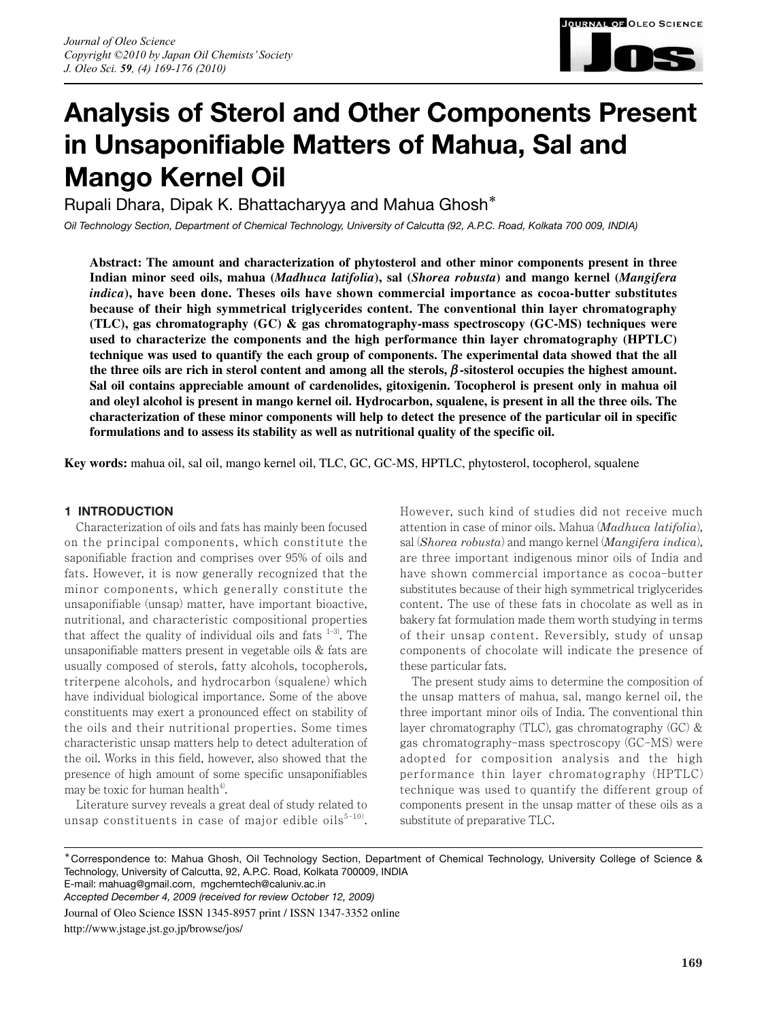

# **Analysis of Sterol and Other Components Present in Unsaponifiable Matters of Mahua, Sal and Mango Kernel Oil**

Rupali Dhara, Dipak K. Bhattacharyya and Mahua Ghosh**\***

*Oil Technology Section, Department of Chemical Technology, University of Calcutta (92, A.P.C. Road, Kolkata 700 009, INDIA)*

**Abstract: The amount and characterization of phytosterol and other minor components present in three Indian minor seed oils, mahua (***Madhuca latifolia***), sal (***Shorea robusta***) and mango kernel (***Mangifera indica***), have been done. Theses oils have shown commercial importance as cocoa-butter substitutes because of their high symmetrical triglycerides content. The conventional thin layer chromatography (TLC), gas chromatography (GC) & gas chromatography-mass spectroscopy (GC-MS) techniques were used to characterize the components and the high performance thin layer chromatography (HPTLC) technique was used to quantify the each group of components. The experimental data showed that the all** the three oils are rich in sterol content and among all the sterols,  $\beta$  -sitosterol occupies the highest amount. **Sal oil contains appreciable amount of cardenolides, gitoxigenin. Tocopherol is present only in mahua oil and oleyl alcohol is present in mango kernel oil. Hydrocarbon, squalene, is present in all the three oils. The characterization of these minor components will help to detect the presence of the particular oil in specific formulations and to assess its stability as well as nutritional quality of the specific oil.** 

**Key words:** mahua oil, sal oil, mango kernel oil, TLC, GC, GC-MS, HPTLC, phytosterol, tocopherol, squalene

## **1 INTRODUCTION**

Characterization of oils and fats has mainly been focused on the principal components, which constitute the saponifiable fraction and comprises over 95% of oils and fats. However, it is now generally recognized that the minor components, which generally constitute the unsaponifiable (unsap) matter, have important bioactive, nutritional, and characteristic compositional properties that affect the quality of individual oils and fats  $1-3$ . The unsaponifiable matters present in vegetable oils & fats are usually composed of sterols, fatty alcohols, tocopherols, triterpene alcohols, and hydrocarbon (squalene) which have individual biological importance. Some of the above constituents may exert a pronounced effect on stability of the oils and their nutritional properties. Some times characteristic unsap matters help to detect adulteration of the oil. Works in this field, however, also showed that the presence of high amount of some specific unsaponifiables may be toxic for human health<sup>4)</sup>.

Literature survey reveals a great deal of study related to unsap constituents in case of major edible oils $5-10$ . However, such kind of studies did not receive much attention in case of minor oils. Mahua (*Madhuca latifolia*), sal (*Shorea robusta*) and mango kernel (*Mangifera indica*), are three important indigenous minor oils of India and have shown commercial importance as cocoa–butter substitutes because of their high symmetrical triglycerides content. The use of these fats in chocolate as well as in bakery fat formulation made them worth studying in terms of their unsap content. Reversibly, study of unsap components of chocolate will indicate the presence of these particular fats.

The present study aims to determine the composition of the unsap matters of mahua, sal, mango kernel oil, the three important minor oils of India. The conventional thin layer chromatography (TLC), gas chromatography (GC) & gas chromatography–mass spectroscopy (GC–MS) were adopted for composition analysis and the high performance thin layer chromatography (HPTLC) technique was used to quantify the different group of components present in the unsap matter of these oils as a substitute of preparative TLC.

\*Correspondence to: Mahua Ghosh, Oil Technology Section, Department of Chemical Technology, University College of Science & Technology, University of Calcutta, 92, A.P.C. Road, Kolkata 700009, INDIA

E-mail: mahuag@gmail.com, mgchemtech@caluniv.ac.in

*Accepted December 4, 2009 (received for review October 12, 2009)*

Journal of Oleo Science ISSN 1345-8957 print / ISSN 1347-3352 online

http://www.jstage.jst.go.jp/browse/jos/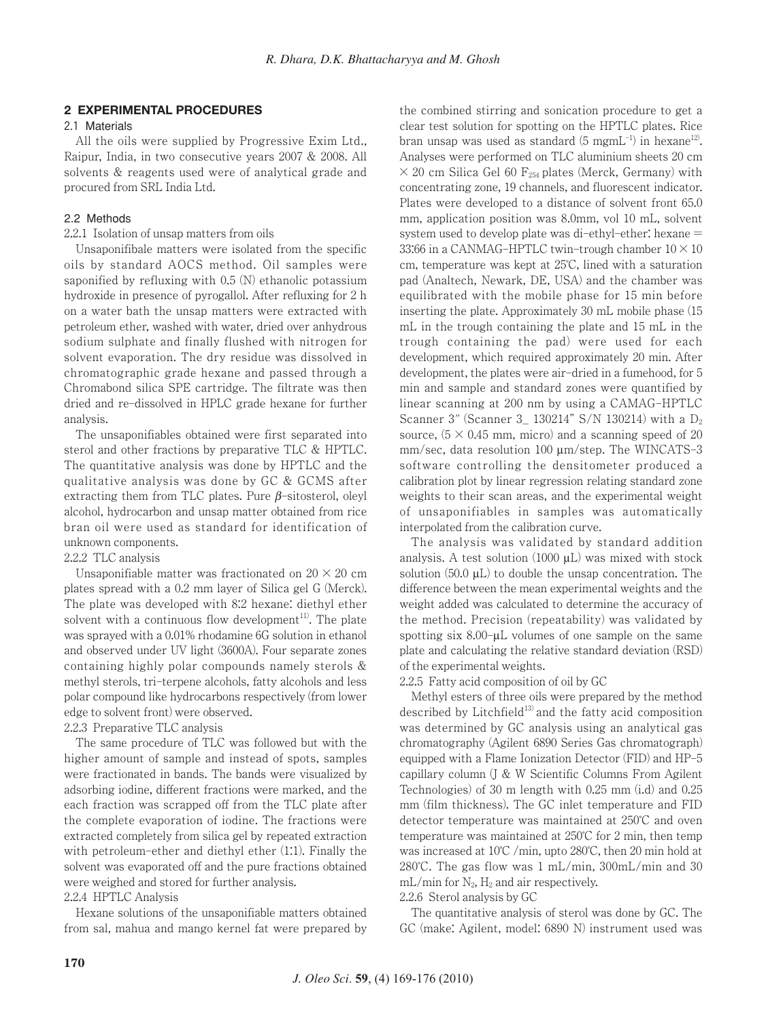## **2 EXPERIMENTAL PROCEDURES**

### 2.1 Materials

All the oils were supplied by Progressive Exim Ltd., Raipur, India, in two consecutive years 2007 & 2008. All solvents & reagents used were of analytical grade and procured from SRL India Ltd.

## 2.2 Methods

#### 2.2.1 Isolation of unsap matters from oils

Unsaponifibale matters were isolated from the specific oils by standard AOCS method. Oil samples were saponified by refluxing with 0.5 (N) ethanolic potassium hydroxide in presence of pyrogallol. After refluxing for 2 h on a water bath the unsap matters were extracted with petroleum ether, washed with water, dried over anhydrous sodium sulphate and finally flushed with nitrogen for solvent evaporation. The dry residue was dissolved in chromatographic grade hexane and passed through a Chromabond silica SPE cartridge. The filtrate was then dried and re–dissolved in HPLC grade hexane for further analysis.

The unsaponifiables obtained were first separated into sterol and other fractions by preparative TLC & HPTLC. The quantitative analysis was done by HPTLC and the qualitative analysis was done by GC & GCMS after extracting them from TLC plates. Pure  $\beta$ –sitosterol, oleyl alcohol, hydrocarbon and unsap matter obtained from rice bran oil were used as standard for identification of unknown components.

#### 2.2.2 TLC analysis

Unsaponifiable matter was fractionated on  $20 \times 20$  cm plates spread with a 0.2 mm layer of Silica gel G (Merck). The plate was developed with 8:2 hexane: diethyl ether solvent with a continuous flow development<sup>11)</sup>. The plate was sprayed with a 0.01% rhodamine 6G solution in ethanol and observed under UV light (3600A). Four separate zones containing highly polar compounds namely sterols & methyl sterols, tri–terpene alcohols, fatty alcohols and less polar compound like hydrocarbons respectively (from lower edge to solvent front) were observed.

### 2.2.3 Preparative TLC analysis

The same procedure of TLC was followed but with the higher amount of sample and instead of spots, samples were fractionated in bands. The bands were visualized by adsorbing iodine, different fractions were marked, and the each fraction was scrapped off from the TLC plate after the complete evaporation of iodine. The fractions were extracted completely from silica gel by repeated extraction with petroleum–ether and diethyl ether (1:1). Finally the solvent was evaporated off and the pure fractions obtained were weighed and stored for further analysis.

## 2.2.4 HPTLC Analysis

Hexane solutions of the unsaponifiable matters obtained from sal, mahua and mango kernel fat were prepared by the combined stirring and sonication procedure to get a clear test solution for spotting on the HPTLC plates. Rice bran unsap was used as standard  $(5 \text{ mgmL}^{-1})$  in hexane<sup>12</sup>. Analyses were performed on TLC aluminium sheets 20 cm  $\times$  20 cm Silica Gel 60 F<sub>254</sub> plates (Merck, Germany) with concentrating zone, 19 channels, and fluorescent indicator. Plates were developed to a distance of solvent front 65.0 mm, application position was 8.0mm, vol 10 mL, solvent system used to develop plate was di–ethyl–ether: hexane = 33:66 in a CANMAG–HPTLC twin–trough chamber  $10 \times 10$ cm, temperature was kept at 25˚C, lined with a saturation pad (Analtech, Newark, DE, USA) and the chamber was equilibrated with the mobile phase for 15 min before inserting the plate. Approximately 30 mL mobile phase (15 mL in the trough containing the plate and 15 mL in the trough containing the pad) were used for each development, which required approximately 20 min. After development, the plates were air–dried in a fumehood, for 5 min and sample and standard zones were quantified by linear scanning at 200 nm by using a CAMAG–HPTLC Scanner 3<sup>"</sup> (Scanner 3\_ 130214" S/N 130214) with a D<sub>2</sub> source,  $(5 \times 0.45$  mm, micro) and a scanning speed of 20 mm/sec, data resolution 100 µm/step. The WINCATS–3 software controlling the densitometer produced a calibration plot by linear regression relating standard zone weights to their scan areas, and the experimental weight of unsaponifiables in samples was automatically interpolated from the calibration curve.

The analysis was validated by standard addition analysis. A test solution (1000 µL) was mixed with stock solution (50.0  $\mu$ L) to double the unsap concentration. The difference between the mean experimental weights and the weight added was calculated to determine the accuracy of the method. Precision (repeatability) was validated by spotting six 8.00– $\mu$ L volumes of one sample on the same plate and calculating the relative standard deviation (RSD) of the experimental weights.

2.2.5 Fatty acid composition of oil by GC

Methyl esters of three oils were prepared by the method described by Litchfield $13$  and the fatty acid composition was determined by GC analysis using an analytical gas chromatography (Agilent 6890 Series Gas chromatograph) equipped with a Flame Ionization Detector (FID) and HP–5 capillary column (J & W Scientific Columns From Agilent Technologies) of 30 m length with 0.25 mm (i.d) and 0.25 mm (film thickness). The GC inlet temperature and FID detector temperature was maintained at 250˚C and oven temperature was maintained at 250˚C for 2 min, then temp was increased at 10°C /min, upto 280°C, then 20 min hold at 280°C. The gas flow was  $1 \text{ mL/min}$ , 300mL/min and 30 mL/min for  $N_2$ ,  $H_2$  and air respectively.

### 2.2.6 Sterol analysis by GC

The quantitative analysis of sterol was done by GC. The GC (make: Agilent, model: 6890 N) instrument used was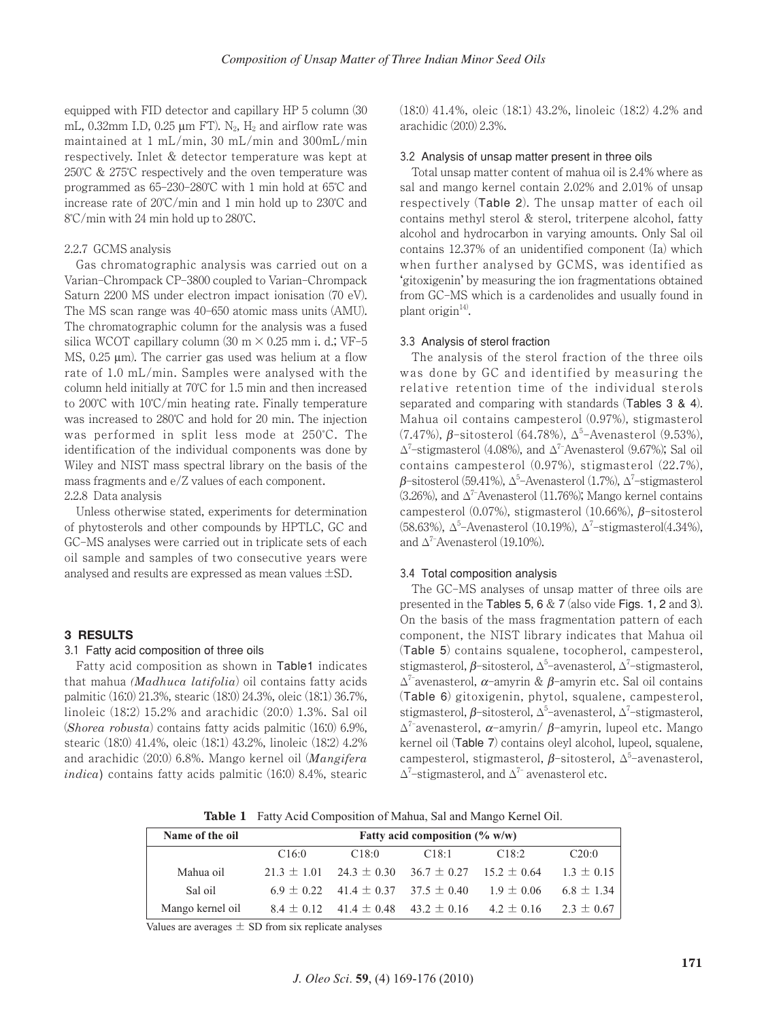equipped with FID detector and capillary HP 5 column (30 mL, 0.32mm I.D, 0.25  $\mu$ m FT). N<sub>2</sub>, H<sub>2</sub> and airflow rate was maintained at 1 mL/min, 30 mL/min and 300mL/min respectively. Inlet & detector temperature was kept at 250°C & 275°C respectively and the oven temperature was programmed as 65–230–280˚C with 1 min hold at 65˚C and increase rate of  $20^{\circ}$ C/min and 1 min hold up to  $230^{\circ}$ C and 8˚C/min with 24 min hold up to 280˚C.

#### 2.2.7 GCMS analysis

Gas chromatographic analysis was carried out on a Varian–Chrompack CP–3800 coupled to Varian–Chrompack Saturn 2200 MS under electron impact ionisation (70 eV). The MS scan range was 40–650 atomic mass units (AMU). The chromatographic column for the analysis was a fused silica WCOT capillary column  $(30 \text{ m} \times 0.25 \text{ mm})$  i. d.; VF-5 MS, 0.25  $\mu$ m). The carrier gas used was helium at a flow rate of 1.0 mL/min. Samples were analysed with the column held initially at 70˚C for 1.5 min and then increased to  $200^{\circ}$ C with  $10^{\circ}$ C/min heating rate. Finally temperature was increased to 280°C and hold for 20 min. The injection was performed in split less mode at 250˚C. The identification of the individual components was done by Wiley and NIST mass spectral library on the basis of the mass fragments and e/Z values of each component.

2.2.8 Data analysis

Unless otherwise stated, experiments for determination of phytosterols and other compounds by HPTLC, GC and GC–MS analyses were carried out in triplicate sets of each oil sample and samples of two consecutive years were analysed and results are expressed as mean values ±SD.

### **3 RESULTS**

### 3.1 Fatty acid composition of three oils

Fatty acid composition as shown in Table1 indicates that mahua *(Madhuca latifolia*) oil contains fatty acids palmitic (16:0) 21.3%, stearic (18:0) 24.3%, oleic (18:1) 36.7%, linoleic (18:2) 15.2% and arachidic (20:0) 1.3%. Sal oil (*Shorea robusta*) contains fatty acids palmitic (16:0) 6.9%, stearic (18:0) 41.4%, oleic (18:1) 43.2%, linoleic (18:2) 4.2% and arachidic (20:0) 6.8%. Mango kernel oil (*Mangifera indica*) contains fatty acids palmitic (16:0) 8.4%, stearic

(18:0) 41.4%, oleic (18:1) 43.2%, linoleic (18:2) 4.2% and arachidic (20:0) 2.3%.

#### 3.2 Analysis of unsap matter present in three oils

Total unsap matter content of mahua oil is 2.4% where as sal and mango kernel contain 2.02% and 2.01% of unsap respectively (Table 2). The unsap matter of each oil contains methyl sterol & sterol, triterpene alcohol, fatty alcohol and hydrocarbon in varying amounts. Only Sal oil contains 12.37% of an unidentified component (Ia) which when further analysed by GCMS, was identified as 'gitoxigenin' by measuring the ion fragmentations obtained from GC–MS which is a cardenolides and usually found in plant origin<sup>14)</sup>.

### 3.3 Analysis of sterol fraction

The analysis of the sterol fraction of the three oils was done by GC and identified by measuring the relative retention time of the individual sterols separated and comparing with standards (Tables 3 & 4). Mahua oil contains campesterol (0.97%), stigmasterol (7.47%), b–sitosterol (64.78%), ∆<sup>5</sup> –Avenasterol (9.53%), ∆7 –stigmasterol (4.08%), and ∆7–Avenasterol (9.67%); Sal oil contains campesterol (0.97%), stigmasterol (22.7%),  $\beta$ −sitosterol (59.41%), ∆<sup>5</sup>−Avenasterol (1.7%), ∆<sup>7</sup>−stigmasterol (3.26%), and  $\Delta^{7}$ -Avenasterol (11.76%); Mango kernel contains campesterol  $(0.07\%)$ , stigmasterol  $(10.66\%)$ ,  $\beta$ -sitosterol (58.63%),  $\Delta^5$ –Avenasterol (10.19%),  $\Delta^7$ –stigmasterol(4.34%), and  $\Delta^{7}$ -Avenasterol (19.10%).

### 3.4 Total composition analysis

The GC–MS analyses of unsap matter of three oils are presented in the Tables 5, 6 & 7 (also vide Figs. 1, 2 and 3). On the basis of the mass fragmentation pattern of each component, the NIST library indicates that Mahua oil (Table 5) contains squalene, tocopherol, campesterol, stigmasterol, β-sitosterol, Δ $^5$ –avenasterol, Δ $^7$ –stigmasterol,  $\Delta^{7}$ avenasterol,  $\alpha$ –amyrin &  $\beta$ –amyrin etc. Sal oil contains (Table 6) gitoxigenin, phytol, squalene, campesterol, stigmasterol, β-sitosterol, Δ $^5$ –avenasterol, Δ $^7$ –stigmasterol,  $\Delta^{7}$ avenasterol,  $\alpha$ –amyrin/  $\beta$ –amyrin, lupeol etc. Mango kernel oil (Table 7) contains oleyl alcohol, lupeol, squalene, campesterol, stigmasterol, β-sitosterol, ∆<sup>5</sup>-avenasterol,  $\Delta^7$ -stigmasterol, and  $\Delta^{7-}$  avenasterol etc.

**Table 1** Fatty Acid Composition of Mahua, Sal and Mango Kernel Oil.

| Name of the oil  | Fatty acid composition $(\% w/w)$ |                                                                 |                   |                   |                |  |
|------------------|-----------------------------------|-----------------------------------------------------------------|-------------------|-------------------|----------------|--|
|                  | C16:0                             | C18:0                                                           | C <sub>18:1</sub> | C <sub>18:2</sub> | C20:0          |  |
| Mahua oil        |                                   | $21.3 \pm 1.01$ $24.3 \pm 0.30$ $36.7 \pm 0.27$ $15.2 \pm 0.64$ |                   |                   | $1.3 \pm 0.15$ |  |
| Sal oil          |                                   | $6.9 \pm 0.22$ 41.4 $\pm$ 0.37 37.5 $\pm$ 0.40                  |                   | $1.9 \pm 0.06$    | $6.8 \pm 1.34$ |  |
| Mango kernel oil |                                   | $8.4 \pm 0.12$ $41.4 \pm 0.48$ $43.2 \pm 0.16$                  |                   | $4.2 \pm 0.16$    | $2.3 \pm 0.67$ |  |

Values are averages  $\pm$  SD from six replicate analyses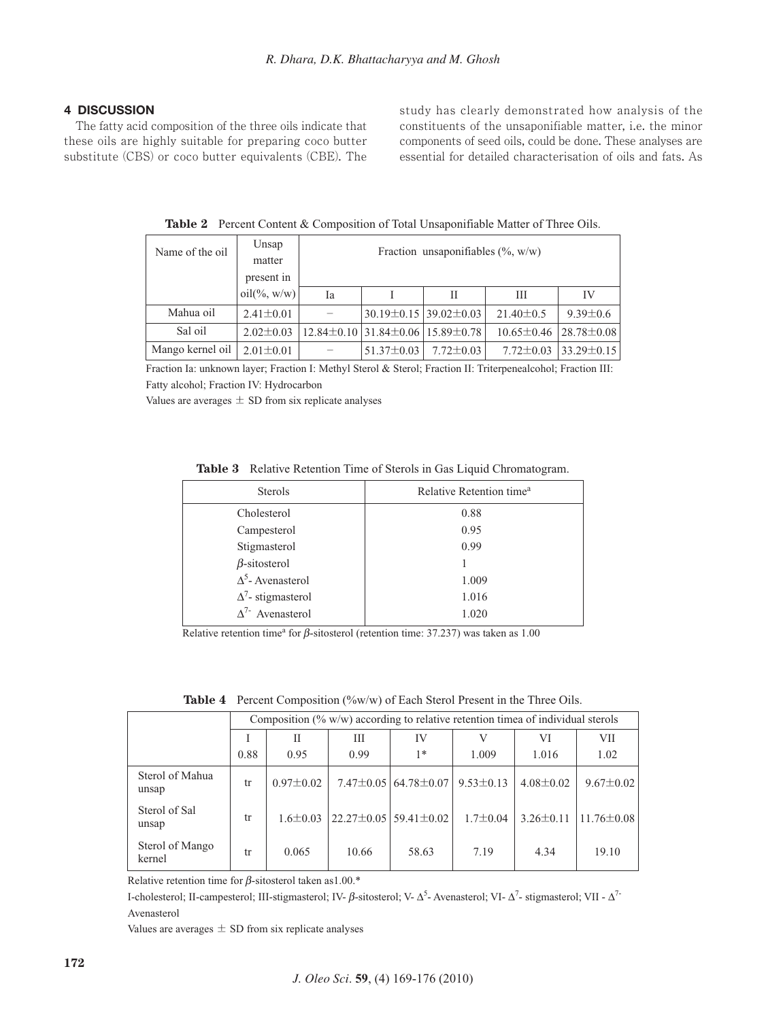## **4 DISCUSSION**

The fatty acid composition of the three oils indicate that these oils are highly suitable for preparing coco butter substitute (CBS) or coco butter equivalents (CBE). The

study has clearly demonstrated how analysis of the constituents of the unsaponifiable matter, i.e. the minor components of seed oils, could be done. These analyses are essential for detailed characterisation of oils and fats. As

**Table 2** Percent Content & Composition of Total Unsaponifiable Matter of Three Oils.

| Name of the oil  | Unsap                  | Fraction unsaponifiables $(\% , w/w)$ |                                                  |                 |                  |                  |  |  |
|------------------|------------------------|---------------------------------------|--------------------------------------------------|-----------------|------------------|------------------|--|--|
|                  | matter                 |                                       |                                                  |                 |                  |                  |  |  |
| present in       |                        |                                       |                                                  |                 |                  |                  |  |  |
|                  | $\text{oil}(\%$ , w/w) | Ia                                    |                                                  | H               | Ш                | IV               |  |  |
| Mahua oil        | $2.41 \pm 0.01$        |                                       | $30.19 \pm 0.15$ 39.02 $\pm$ 0.03                |                 | $21.40 \pm 0.5$  | $9.39 \pm 0.6$   |  |  |
| Sal oil          | $2.02 \pm 0.03$        |                                       | $12.84\pm0.10$ 31.84 $\pm$ 0.06 15.89 $\pm$ 0.78 |                 | $10.65 \pm 0.46$ | $28.78 \pm 0.08$ |  |  |
| Mango kernel oil | $2.01 \pm 0.01$        |                                       | $51.37 \pm 0.03$                                 | $7.72 \pm 0.03$ | $7.72 \pm 0.03$  | $33.29 \pm 0.15$ |  |  |

Fraction Ia: unknown layer; Fraction I: Methyl Sterol & Sterol; Fraction II: Triterpenealcohol; Fraction III: Fatty alcohol; Fraction IV: Hydrocarbon

Values are averages  $\pm$  SD from six replicate analyses

|  | Table 3 Relative Retention Time of Sterols in Gas Liquid Chromatogram. |  |  |  |  |
|--|------------------------------------------------------------------------|--|--|--|--|
|--|------------------------------------------------------------------------|--|--|--|--|

| <b>Sterols</b>             | Relative Retention time <sup>a</sup> |
|----------------------------|--------------------------------------|
| Cholesterol                | 0.88                                 |
| Campesterol                | 0.95                                 |
| Stigmasterol               | 0.99                                 |
| $\beta$ -sitosterol        |                                      |
| $\Delta^5$ - Avenasterol   | 1.009                                |
| $\Delta^7$ - stigmasterol  | 1.016                                |
| $\Delta^{7}$ - Avenasterol | 1.020                                |
|                            |                                      |

Relative retention time<sup>a</sup> for  $\beta$ -sitosterol (retention time: 37.237) was taken as 1.00

|                           |      | Composition $(\% w/w)$ according to relative retention time aof individual sterols |               |                                   |                 |                 |                  |
|---------------------------|------|------------------------------------------------------------------------------------|---------------|-----------------------------------|-----------------|-----------------|------------------|
|                           |      | H                                                                                  | Ш<br>IV       |                                   | V               | VI              | VII              |
|                           | 0.88 | 0.95                                                                               | 0.99          | $1*$                              | 1.009           | 1.016           | 1.02             |
| Sterol of Mahua<br>unsap  | tr   | $0.97 \pm 0.02$                                                                    | $7.47\pm0.05$ | $64.78 \pm 0.07$                  | $9.53 \pm 0.13$ | $4.08 \pm 0.02$ | $9.67 \pm 0.02$  |
| Sterol of Sal<br>unsap    | tr   | $1.6 \pm 0.03$                                                                     |               | $22.27 \pm 0.05$ 59.41 $\pm 0.02$ | $1.7 \pm 0.04$  | $3.26 \pm 0.11$ | $11.76 \pm 0.08$ |
| Sterol of Mango<br>kernel | tr   | 0.065                                                                              | 10.66         | 58.63                             | 7.19            | 4.34            | 19.10            |

Relative retention time for  $\beta$ -sitosterol taken as 1.00.\*

I-cholesterol; II-campesterol; III-stigmasterol; IV-β-sitosterol; V-Δ<sup>5</sup>- Avenasterol; VI- $\Delta$ <sup>7</sup>- stigmasterol; VII -  $\Delta$ <sup>7</sup> Avenasterol

Values are averages  $\pm$  SD from six replicate analyses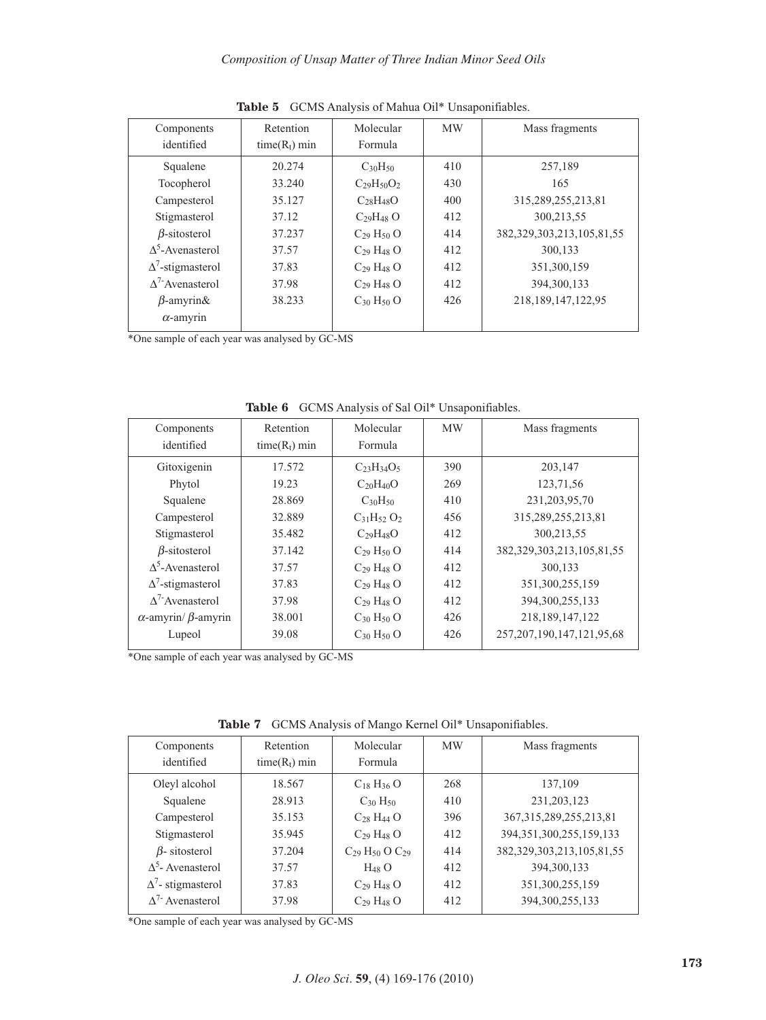| Components<br>identified           | Retention<br>$time(R_t)$ min | Molecular<br>Formula              | <b>MW</b> | Mass fragments                  |
|------------------------------------|------------------------------|-----------------------------------|-----------|---------------------------------|
| Squalene                           | 20.274                       | $C_{30}H_{50}$                    | 410       | 257,189                         |
| Tocopherol                         | 33.240                       | $C_{29}H_{50}O_2$                 | 430       | 165                             |
| Campesterol                        | 35.127                       | $C_{28}H_{48}O$                   | 400       | 315,289,255,213,81              |
| Stigmasterol                       | 37.12                        | C <sub>29</sub> H <sub>48</sub> O | 412       | 300,213,55                      |
| $\beta$ -sitosterol                | 37.237                       | $C_{29}$ H <sub>50</sub> O        | 414       | 382, 329, 303, 213, 105, 81, 55 |
| $\Delta^5$ -Avenasterol            | 37.57                        | $C_{29}$ H <sub>48</sub> O        | 412       | 300.133                         |
| $\Delta^7$ -stigmasterol           | 37.83                        | C <sub>29</sub> H <sub>48</sub> O | 412       | 351,300,159                     |
| $\Delta$ <sup>7-</sup> Avenasterol | 37.98                        | $C_{29}$ H <sub>48</sub> O        | 412       | 394, 300, 133                   |
| $\beta$ -amyrin &                  | 38.233                       | $C_{30}$ H <sub>50</sub> O        | 426       | 218, 189, 147, 122, 95          |
| $\alpha$ -amyrin                   |                              |                                   |           |                                 |

**Table 5** GCMS Analysis of Mahua Oil\* Unsaponifiables.

\*One sample of each year was analysed by GC-MS

| Components<br>identified           | Retention<br>$time(R_t)$ min | Molecular<br>Formula              | <b>MW</b> | Mass fragments                  |
|------------------------------------|------------------------------|-----------------------------------|-----------|---------------------------------|
| Gitoxigenin                        | 17.572                       | $C_{23}H_{34}O_5$                 | 390       | 203,147                         |
| Phytol                             | 19.23                        | $C_{20}H_{40}O$                   | 269       | 123,71,56                       |
| Squalene                           | 28.869                       | $C_{30}H_{50}$                    | 410       | 231, 203, 95, 70                |
| Campesterol                        | 32.889                       | $C_{31}H_{52}O_2$                 | 456       | 315,289,255,213,81              |
| Stigmasterol                       | 35.482                       | $C_{29}H_{48}O$                   | 412       | 300,213,55                      |
| $\beta$ -sitosterol                | 37.142                       | $C_{29}$ H <sub>50</sub> O        | 414       | 382, 329, 303, 213, 105, 81, 55 |
| $\Delta^5$ -Avenasterol            | 37.57                        | C <sub>29</sub> H <sub>48</sub> O | 412       | 300,133                         |
| $\Delta'$ -stigmasterol            | 37.83                        | $C_{29}$ H <sub>48</sub> O        | 412       | 351,300,255,159                 |
| $\Delta$ <sup>7-</sup> Avenasterol | 37.98                        | $C_{29}$ H <sub>48</sub> O        | 412       | 394, 300, 255, 133              |
| $\alpha$ -amyrin/ $\beta$ -amyrin  | 38.001                       | $C_{30}$ H <sub>50</sub> O        | 426       | 218, 189, 147, 122              |
| Lupeol                             | 39.08                        | $C_{30}$ H <sub>50</sub> O        | 426       | 257, 207, 190, 147, 121, 95, 68 |
|                                    |                              |                                   |           |                                 |

Table 6 **GCMS** Analysis of Sal Oil\* Unsaponifiables.

\*One sample of each year was analysed by GC-MS

Table 7 GCMS Analysis of Mango Kernel Oil\* Unsaponifiables.

| Components                           | Retention       | Molecular                           | <b>MW</b> | Mass fragments                  |
|--------------------------------------|-----------------|-------------------------------------|-----------|---------------------------------|
| identified                           | $time(R_t)$ min | Formula                             |           |                                 |
| Oleyl alcohol                        | 18.567          | $C_{18}H_{36}O$                     | 268       | 137,109                         |
| Squalene                             | 28.913          | $C_{30}$ H <sub>50</sub>            | 410       | 231, 203, 123                   |
| Campesterol                          | 35.153          | $C_{28}$ H <sub>44</sub> O          | 396       | 367, 315, 289, 255, 213, 81     |
| Stigmasterol                         | 35.945          | $C_{29}$ H <sub>48</sub> O          | 412       | 394, 351, 300, 255, 159, 133    |
| $\beta$ - sitosterol                 | 37.204          | $C_{29}$ H <sub>50</sub> O $C_{29}$ | 414       | 382, 329, 303, 213, 105, 81, 55 |
| $\Delta^5$ - Avenasterol             | 37.57           | $H_{48}$ O                          | 412       | 394, 300, 133                   |
| $\Delta$ <sup>'</sup> - stigmasterol | 37.83           | $C_{29}$ H <sub>48</sub> O          | 412       | 351,300,255,159                 |
| $\Lambda^{7}$ - Avenasterol          | 37.98           | $C_{29}$ H <sub>48</sub> O          | 412       | 394, 300, 255, 133              |

\*One sample of each year was analysed by GC-MS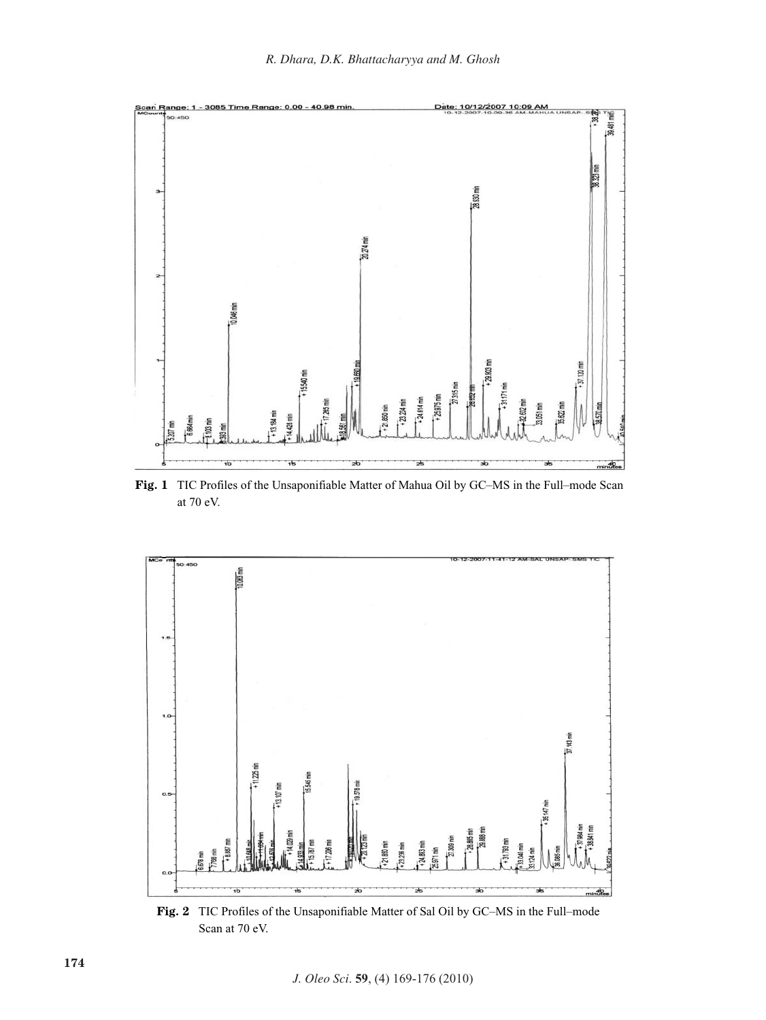

**Fig. 1** TIC Profiles of the Unsaponifiable Matter of Mahua Oil by GC–MS in the Full–mode Scan at 70 eV.



**Fig. 2** TIC Profiles of the Unsaponifiable Matter of Sal Oil by GC–MS in the Full–mode Scan at 70 eV.

*J. Oleo Sci*. **59**, (4) 169-176 (2010)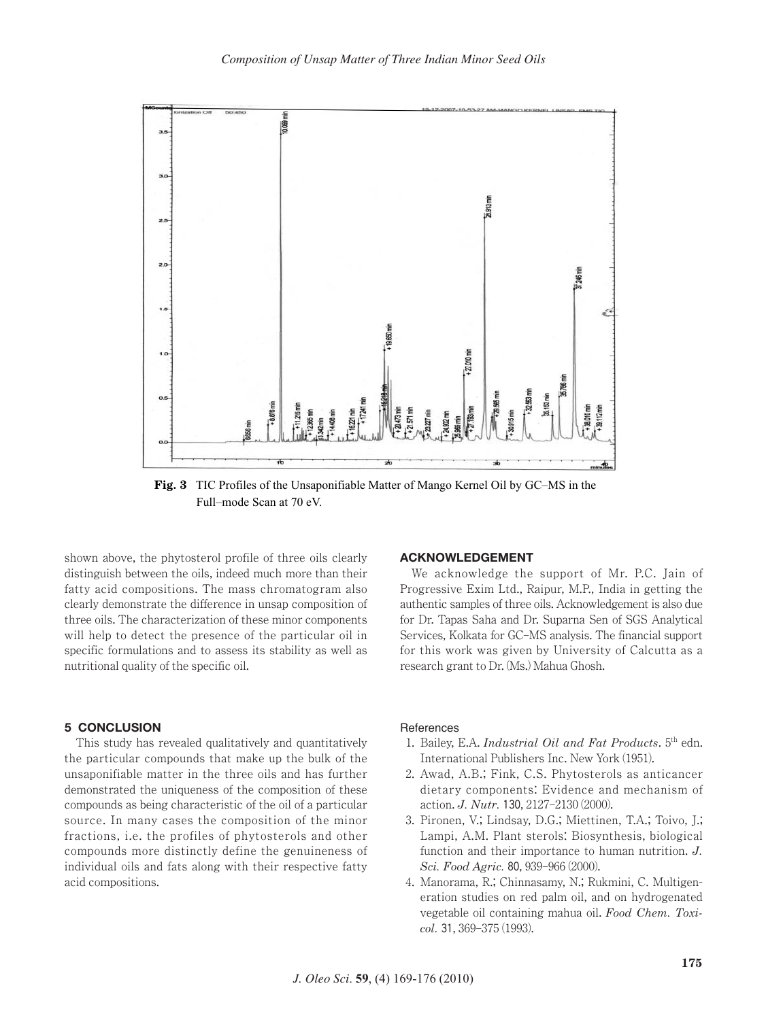

**Fig. 3** TIC Profiles of the Unsaponifiable Matter of Mango Kernel Oil by GC–MS in the Full–mode Scan at 70 eV.

shown above, the phytosterol profile of three oils clearly distinguish between the oils, indeed much more than their fatty acid compositions. The mass chromatogram also clearly demonstrate the difference in unsap composition of three oils. The characterization of these minor components will help to detect the presence of the particular oil in specific formulations and to assess its stability as well as nutritional quality of the specific oil.

#### **5 CONCLUSION**

This study has revealed qualitatively and quantitatively the particular compounds that make up the bulk of the unsaponifiable matter in the three oils and has further demonstrated the uniqueness of the composition of these compounds as being characteristic of the oil of a particular source. In many cases the composition of the minor fractions, i.e. the profiles of phytosterols and other compounds more distinctly define the genuineness of individual oils and fats along with their respective fatty acid compositions.

#### **ACKNOWLEDGEMENT**

We acknowledge the support of Mr. P.C. Jain of Progressive Exim Ltd., Raipur, M.P., India in getting the authentic samples of three oils. Acknowledgement is also due for Dr. Tapas Saha and Dr. Suparna Sen of SGS Analytical Services, Kolkata for GC–MS analysis. The financial support for this work was given by University of Calcutta as a research grant to Dr. (Ms.) Mahua Ghosh.

#### References

- 1. Bailey, E.A. *Industrial Oil and Fat Products*. 5th edn. International Publishers Inc. New York (1951).
- 2. Awad, A.B.; Fink, C.S. Phytosterols as anticancer dietary components: Evidence and mechanism of action. *J. Nutr.* 130, 2127–2130 (2000).
- 3. Pironen, V.; Lindsay, D.G.; Miettinen, T.A.; Toivo, J.; Lampi, A.M. Plant sterols: Biosynthesis, biological function and their importance to human nutrition. *J. Sci. Food Agric.* 80, 939–966 (2000).
- 4. Manorama, R.; Chinnasamy, N.; Rukmini, C. Multigeneration studies on red palm oil, and on hydrogenated vegetable oil containing mahua oil. *Food Chem. Toxicol.* 31, 369–375 (1993).